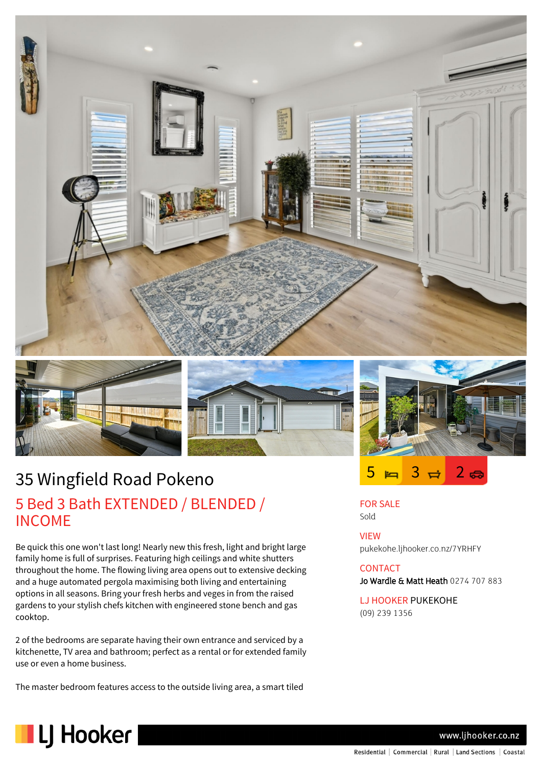







# 35 Wingfield Road Pokeno 5 Bed 3 Bath EXTENDED / BLENDED / INCOME

Be quick this one won't last long! Nearly new this fresh, light and bright large family home is full of surprises. Featuring high ceilings and white shutters throughout the home. The flowing living area opens out to extensive decking and a huge automated pergola maximising both living and entertaining options in all seasons. Bring your fresh herbs and veges in from the raised gardens to your stylish chefs kitchen with engineered stone bench and gas cooktop.

2 of the bedrooms are separate having their own entrance and serviced by a kitchenette, TV area and bathroom; perfect as a rental or for extended family use or even a home business.

The master bedroom features access to the outside living area, a smart tiled

FOR SALE Sold

VIEW pukekohe.ljhooker.co.nz/7YRHFY

### **CONTACT**

Jo Wardle & Matt Heath 0274 707 883

LJ HOOKER PUKEKOHE (09) 239 1356



www.ljhooker.co.nz